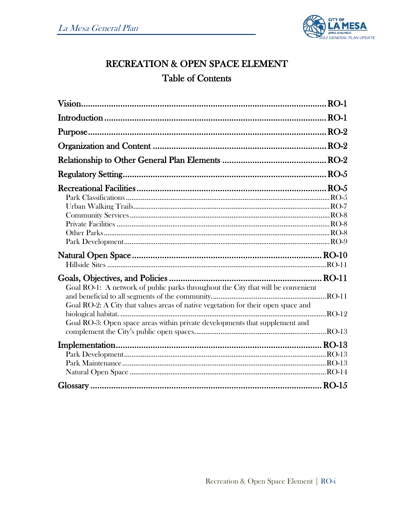

# RECREATION & OPEN SPACE ELEMENT **Table of Contents**

|                                                                                                                                                                                                                                                      | $RO-2$ |
|------------------------------------------------------------------------------------------------------------------------------------------------------------------------------------------------------------------------------------------------------|--------|
|                                                                                                                                                                                                                                                      |        |
|                                                                                                                                                                                                                                                      |        |
|                                                                                                                                                                                                                                                      |        |
|                                                                                                                                                                                                                                                      |        |
| Goal RO-1: A network of public parks throughout the City that will be convenient<br>Goal RO-2: A City that values areas of native vegetation for their open space and<br>Goal RO-3: Open space areas within private developments that supplement and |        |
|                                                                                                                                                                                                                                                      |        |
|                                                                                                                                                                                                                                                      |        |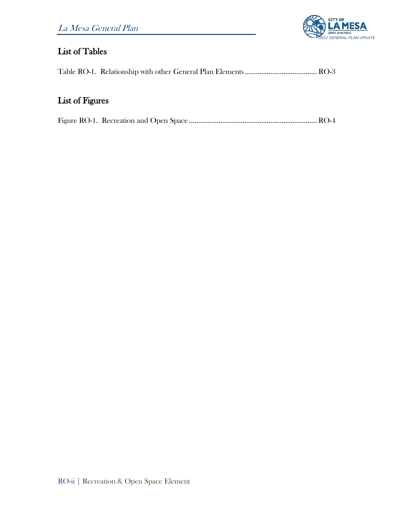

# List of Tables

Table RO-1. Relationship with other General Plan Elements....................................... RO-3

# List of Figures

|--|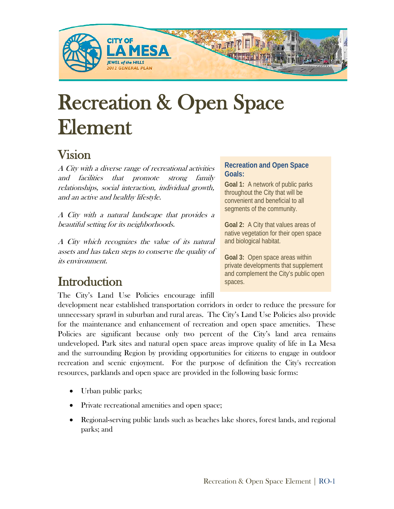

# Recreation & Open Space Element

# Vision

A City with a diverse range of recreational activities and facilities that promote strong family relationships, social interaction, individual growth, and an active and healthy lifestyle.

A City with a natural landscape that provides a beautiful setting for its neighborhoods.

A City which recognizes the value of its natural assets and has taken steps to conserve the quality of its environment.

Introduction<br>The City's Land Use Policies encourage infill

#### **Recreation and Open Space Goals:**

**Goal 1:** A network of public parks throughout the City that will be convenient and beneficial to all segments of the community.

**Goal 2:** A City that values areas of native vegetation for their open space and biological habitat.

**Goal 3:** Open space areas within private developments that supplement and complement the City's public open spaces.

development near established transportation corridors in order to reduce the pressure for unnecessary sprawl in suburban and rural areas. The City's Land Use Policies also provide for the maintenance and enhancement of recreation and open space amenities. These Policies are significant because only two percent of the City's land area remains undeveloped. Park sites and natural open space areas improve quality of life in La Mesa and the surrounding Region by providing opportunities for citizens to engage in outdoor recreation and scenic enjoyment. For the purpose of definition the City's recreation resources, parklands and open space are provided in the following basic forms:

- Urban public parks;
- Private recreational amenities and open space;
- Regional-serving public lands such as beaches lake shores, forest lands, and regional parks; and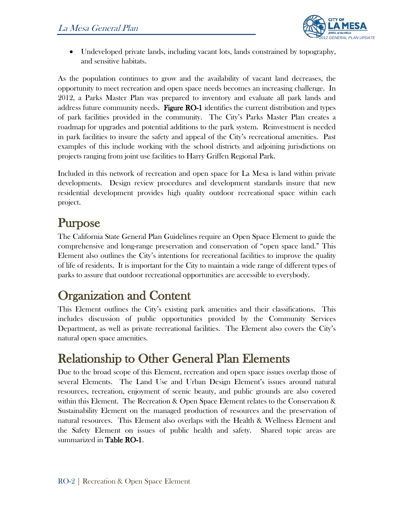

• Undeveloped private lands, including vacant lots, lands constrained by topography, and sensitive habitats.

As the population continues to grow and the availability of vacant land decreases, the opportunity to meet recreation and open space needs becomes an increasing challenge. In 2012, a Parks Master Plan was prepared to inventory and evaluate all park lands and address future community needs. Figure RO-1 identifies the current distribution and types of park facilities provided in the community. The City's Parks Master Plan creates a roadmap for upgrades and potential additions to the park system. Reinvestment is needed in park facilities to insure the safety and appeal of the City's recreational amenities. Past examples of this include working with the school districts and adjoining jurisdictions on projects ranging from joint use facilities to Harry Griffen Regional Park.

Included in this network of recreation and open space for La Mesa is land within private developments. Design review procedures and development standards insure that new residential development provides high quality outdoor recreational space within each project.

Purpose<br>The California State General Plan Guidelines require an Open Space Element to guide the comprehensive and long-range preservation and conservation of "open space land." This Element also outlines the City's intentions for recreational facilities to improve the quality of life of residents. It is important for the City to maintain a wide range of different types of parks to assure that outdoor recreational opportunities are accessible to everybody.

Organization and Content This Element outlines the City's existing park amenities and their classifications. This includes discussion of public opportunities provided by the Community Services Department, as well as private recreational facilities. The Element also covers the City's natural open space amenities.

# Relationship to Other General Plan Elements<br>Due to the broad scope of this Element, recreation and open space issues overlap those of

several Elements. The Land Use and Urban Design Element's issues around natural resources, recreation, enjoyment of scenic beauty, and public grounds are also covered within this Element. The Recreation & Open Space Element relates to the Conservation & Sustainability Element on the managed production of resources and the preservation of natural resources. This Element also overlaps with the Health & Wellness Element and the Safety Element on issues of public health and safety. Shared topic areas are summarized in Table RO-1.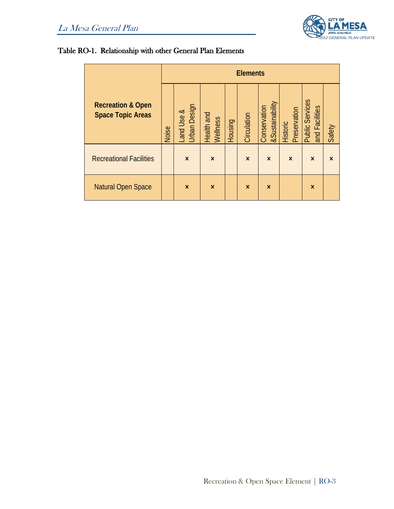

### Table RO-1. Relationship with other General Plan Elements

|                                                          | <b>Elements</b> |                                  |                           |         |                           |                                            |                                 |                                          |          |
|----------------------------------------------------------|-----------------|----------------------------------|---------------------------|---------|---------------------------|--------------------------------------------|---------------------------------|------------------------------------------|----------|
| <b>Recreation &amp; Open</b><br><b>Space Topic Areas</b> | Noise           | <b>Urban Design</b><br>and Use & | Health and<br>Wellness    | Housing | Circulation               | <b>&amp;Sustainability</b><br>Conservation | Preservation<br><b>Historic</b> | <b>Public Services</b><br>and Facilities | Safety   |
| <b>Recreational Facilities</b>                           |                 | $\boldsymbol{\mathsf{x}}$        | $\boldsymbol{\mathsf{x}}$ |         | $\mathsf{x}$              | $\boldsymbol{\mathsf{x}}$                  | $\times$                        | $\boldsymbol{\mathsf{x}}$                | $\times$ |
| <b>Natural Open Space</b>                                |                 | $\boldsymbol{\mathsf{x}}$        | $\boldsymbol{\mathsf{x}}$ |         | $\boldsymbol{\mathsf{x}}$ | $\boldsymbol{\mathsf{x}}$                  |                                 | $\boldsymbol{\mathsf{x}}$                |          |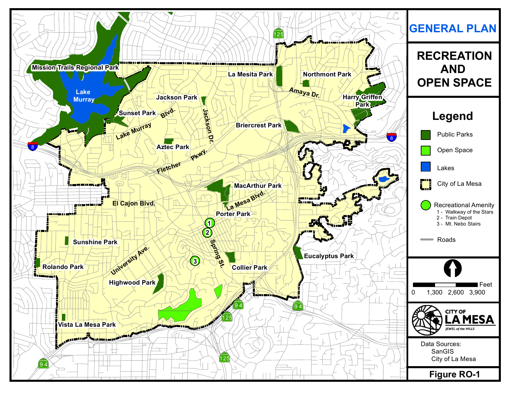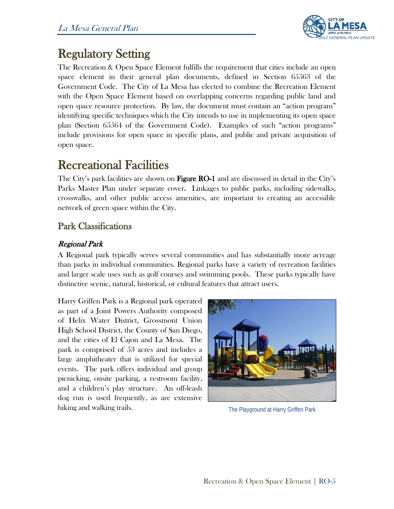

**Regulatory Setting**<br>The Recreation & Open Space Element fulfills the requirement that cities include an open space element in their general plan documents, defined in Section 65563 of the Government Code. The City of La Mesa has elected to combine the Recreation Element with the Open Space Element based on overlapping concerns regarding public land and open space resource protection. By law, the document must contain an "action program" identifying specific techniques which the City intends to use in implementing its open space plan (Section 65564 of the Government Code). Examples of such "action programs" include provisions for open space in specific plans, and public and private acquisition of open space.

Recreational Facilities<br>The City's park facilities are shown on Figure RO-1 and are discussed in detail in the City's Parks Master Plan under separate cover. Linkages to public parks, including sidewalks, crosswalks, and other public access amenities, are important to creating an accessible network of green space within the City.

# Park Classifications

## Regional Park

A Regional park typically serves several communities and has substantially more acreage than parks in individual communities. Regional parks have a variety of recreation facilities and larger scale uses such as golf courses and swimming pools. These parks typically have distinctive scenic, natural, historical, or cultural features that attract users.

Harry Griffen Park is a Regional park operated as part of a Joint Powers Authority composed of Helix Water District, Grossmont Union High School District, the County of San Diego, and the cities of El Cajon and La Mesa. The park is comprised of 53 acres and includes a large amphitheater that is utilized for special events. The park offers individual and group picnicking, onsite parking, a restroom facility, and a children's play structure. An off-leash dog run is used frequently, as are extensive hiking and walking trails.



The Playground at Harry Griffen Park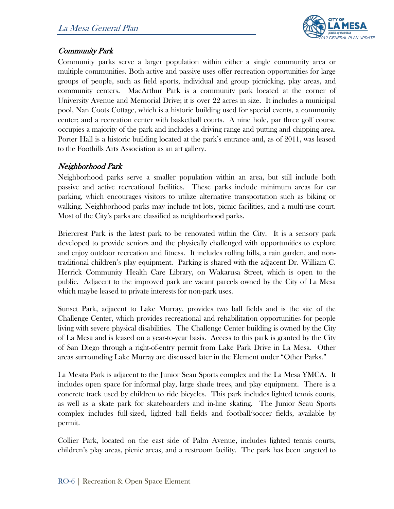

### Community Park

Community parks serve a larger population within either a single community area or multiple communities. Both active and passive uses offer recreation opportunities for large groups of people, such as field sports, individual and group picnicking, play areas, and community centers. MacArthur Park is a community park located at the corner of University Avenue and Memorial Drive; it is over 22 acres in size. It includes a municipal pool, Nan Coots Cottage, which is a historic building used for special events, a community center; and a recreation center with basketball courts. A nine hole, par three golf course occupies a majority of the park and includes a driving range and putting and chipping area. Porter Hall is a historic building located at the park's entrance and, as of 2011, was leased to the Foothills Arts Association as an art gallery.

### Neighborhood Park

Neighborhood parks serve a smaller population within an area, but still include both passive and active recreational facilities. These parks include minimum areas for car parking, which encourages visitors to utilize alternative transportation such as biking or walking. Neighborhood parks may include tot lots, picnic facilities, and a multi-use court. Most of the City's parks are classified as neighborhood parks.

Briercrest Park is the latest park to be renovated within the City. It is a sensory park developed to provide seniors and the physically challenged with opportunities to explore and enjoy outdoor recreation and fitness. It includes rolling hills, a rain garden, and nontraditional children's play equipment. Parking is shared with the adjacent Dr. William C. Herrick Community Health Care Library, on Wakarusa Street, which is open to the public. Adjacent to the improved park are vacant parcels owned by the City of La Mesa which maybe leased to private interests for non-park uses.

Sunset Park, adjacent to Lake Murray, provides two ball fields and is the site of the Challenge Center, which provides recreational and rehabilitation opportunities for people living with severe physical disabilities. The Challenge Center building is owned by the City of La Mesa and is leased on a year-to-year basis. Access to this park is granted by the City of San Diego through a right-of-entry permit from Lake Park Drive in La Mesa. Other areas surrounding Lake Murray are discussed later in the Element under "Other Parks."

La Mesita Park is adjacent to the Junior Seau Sports complex and the La Mesa YMCA. It includes open space for informal play, large shade trees, and play equipment. There is a concrete track used by children to ride bicycles. This park includes lighted tennis courts, as well as a skate park for skateboarders and in-line skating. The Junior Seau Sports complex includes full-sized, lighted ball fields and football/soccer fields, available by permit.

Collier Park, located on the east side of Palm Avenue, includes lighted tennis courts, children's play areas, picnic areas, and a restroom facility. The park has been targeted to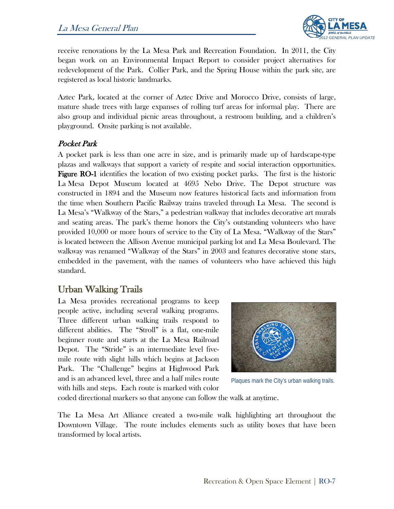

receive renovations by the La Mesa Park and Recreation Foundation. In 2011, the City began work on an Environmental Impact Report to consider project alternatives for redevelopment of the Park. Collier Park, and the Spring House within the park site, are registered as local historic landmarks.

Aztec Park, located at the corner of Aztec Drive and Morocco Drive, consists of large, mature shade trees with large expanses of rolling turf areas for informal play. There are also group and individual picnic areas throughout, a restroom building, and a children's playground. Onsite parking is not available.

### Pocket Park

A pocket park is less than one acre in size, and is primarily made up of hardscape-type plazas and walkways that support a variety of respite and social interaction opportunities. Figure RO-1 identifies the location of two existing pocket parks. The first is the historic La Mesa Depot Museum located at 4695 Nebo Drive. The Depot structure was constructed in 1894 and the Museum now features historical facts and information from the time when Southern Pacific Railway trains traveled through La Mesa. The second is La Mesa's "Walkway of the Stars," a pedestrian walkway that includes decorative art murals and seating areas. The park's theme honors the City's outstanding volunteers who have provided 10,000 or more hours of service to the City of La Mesa. "Walkway of the Stars" is located between the Allison Avenue municipal parking lot and La Mesa Boulevard. The walkway was renamed "Walkway of the Stars" in 2003 and features decorative stone stars, embedded in the pavement, with the names of volunteers who have achieved this high standard.

# Urban Walking Trails

La Mesa provides recreational programs to keep people active, including several walking programs. Three different urban walking trails respond to different abilities. The "Stroll" is a flat, one-mile beginner route and starts at the La Mesa Railroad Depot. The "Stride" is an intermediate level fivemile route with slight hills which begins at Jackson Park. The "Challenge" begins at Highwood Park and is an advanced level, three and a half miles route with hills and steps. Each route is marked with color



Plaques mark the City's urban walking trails.

coded directional markers so that anyone can follow the walk at anytime.

The La Mesa Art Alliance created a two-mile walk highlighting art throughout the Downtown Village. The route includes elements such as utility boxes that have been transformed by local artists.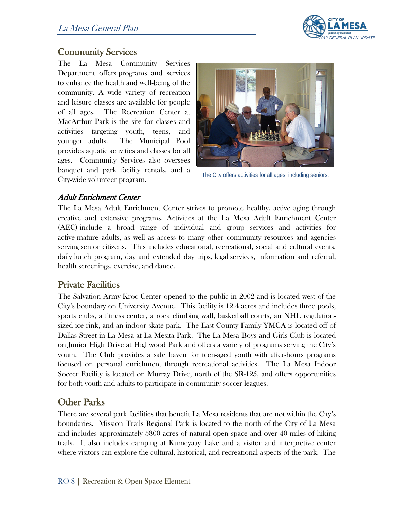

# Community Services

The La Mesa Community Services Department offers programs and services to enhance the health and well-being of the community. A wide variety of recreation and leisure classes are available for people of all ages. The Recreation Center at MacArthur Park is the site for classes and activities targeting youth, teens, and younger adults. The Municipal Pool provides aquatic activities and classes for all ages. Community Services also oversees banquet and park facility rentals, and a City-wide volunteer program.



The City offers activities for all ages, including seniors.

#### Adult Enrichment Center

The La Mesa Adult Enrichment Center strives to promote healthy, active aging through creative and extensive programs. Activities at the La Mesa Adult Enrichment Center (AEC) include a broad range of individual and group services and activities for active mature adults, as well as access to many other community resources and agencies serving senior citizens. This includes educational, recreational, social and cultural events, daily lunch program, day and extended day trips, legal services, information and referral, health screenings, exercise, and dance.

## Private Facilities

The Salvation Army-Kroc Center opened to the public in 2002 and is located west of the City's boundary on University Avenue. This facility is 12.4 acres and includes three pools, sports clubs, a fitness center, a rock climbing wall, basketball courts, an NHL regulationsized ice rink, and an indoor skate park. The East County Family YMCA is located off of Dallas Street in La Mesa at La Mesita Park. The La Mesa Boys and Girls Club is located on Junior High Drive at Highwood Park and offers a variety of programs serving the City's youth. The Club provides a safe haven for teen-aged youth with after-hours programs focused on personal enrichment through recreational activities. The La Mesa Indoor Soccer Facility is located on Murray Drive, north of the SR-125, and offers opportunities for both youth and adults to participate in community soccer leagues.

# Other Parks

There are several park facilities that benefit La Mesa residents that are not within the City's boundaries. Mission Trails Regional Park is located to the north of the City of La Mesa and includes approximately 5800 acres of natural open space and over 40 miles of hiking trails. It also includes camping at Kumeyaay Lake and a visitor and interpretive center where visitors can explore the cultural, historical, and recreational aspects of the park. The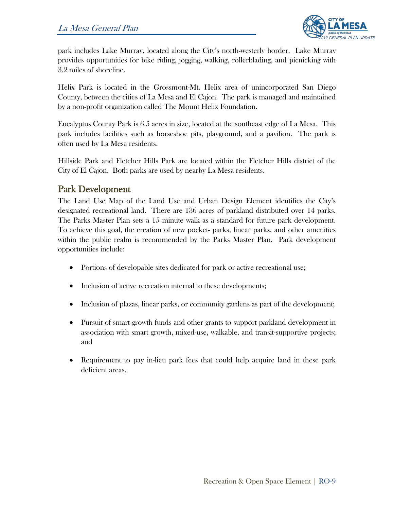

park includes Lake Murray, located along the City's north-westerly border. Lake Murray provides opportunities for bike riding, jogging, walking, rollerblading, and picnicking with 3.2 miles of shoreline.

Helix Park is located in the Grossmont-Mt. Helix area of unincorporated San Diego County, between the cities of La Mesa and El Cajon. The park is managed and maintained by a non-profit organization called The Mount Helix Foundation.

Eucalyptus County Park is 6.5 acres in size, located at the southeast edge of La Mesa. This park includes facilities such as horseshoe pits, playground, and a pavilion. The park is often used by La Mesa residents.

Hillside Park and Fletcher Hills Park are located within the Fletcher Hills district of the City of El Cajon. Both parks are used by nearby La Mesa residents.

# Park Development

The Land Use Map of the Land Use and Urban Design Element identifies the City's designated recreational land. There are 136 acres of parkland distributed over 14 parks. The Parks Master Plan sets a 15 minute walk as a standard for future park development. To achieve this goal, the creation of new pocket- parks, linear parks, and other amenities within the public realm is recommended by the Parks Master Plan. Park development opportunities include:

- Portions of developable sites dedicated for park or active recreational use;
- Inclusion of active recreation internal to these developments;
- Inclusion of plazas, linear parks, or community gardens as part of the development;
- Pursuit of smart growth funds and other grants to support parkland development in association with smart growth, mixed-use, walkable, and transit-supportive projects; and
- Requirement to pay in-lieu park fees that could help acquire land in these park deficient areas.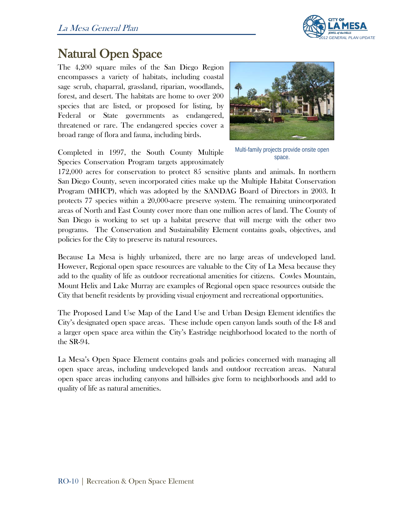

# Natural Open Space The 4,200 square miles of the San Diego Region

encompasses a variety of habitats, including coastal sage scrub, chaparral, grassland, riparian, woodlands, forest, and desert. The habitats are home to over 200 species that are listed, or proposed for listing, by Federal or State governments as endangered, threatened or rare. The endangered species cover a broad range of flora and fauna, including birds.

Completed in 1997, the South County Multiple Species Conservation Program targets approximately



Multi-family projects provide onsite open space.

172,000 acres for conservation to protect 85 sensitive plants and animals. In northern San Diego County, seven incorporated cities make up the Multiple Habitat Conservation Program (MHCP), which was adopted by the SANDAG Board of Directors in 2003. It protects 77 species within a 20,000-acre preserve system. The remaining unincorporated areas of North and East County cover more than one million acres of land. The County of San Diego is working to set up a habitat preserve that will merge with the other two programs. The Conservation and Sustainability Element contains goals, objectives, and policies for the City to preserve its natural resources.

Because La Mesa is highly urbanized, there are no large areas of undeveloped land. However, Regional open space resources are valuable to the City of La Mesa because they add to the quality of life as outdoor recreational amenities for citizens. Cowles Mountain, Mount Helix and Lake Murray are examples of Regional open space resources outside the City that benefit residents by providing visual enjoyment and recreational opportunities.

The Proposed Land Use Map of the Land Use and Urban Design Element identifies the City's designated open space areas. These include open canyon lands south of the I-8 and a larger open space area within the City's Eastridge neighborhood located to the north of the SR-94.

La Mesa's Open Space Element contains goals and policies concerned with managing all open space areas, including undeveloped lands and outdoor recreation areas. Natural open space areas including canyons and hillsides give form to neighborhoods and add to quality of life as natural amenities.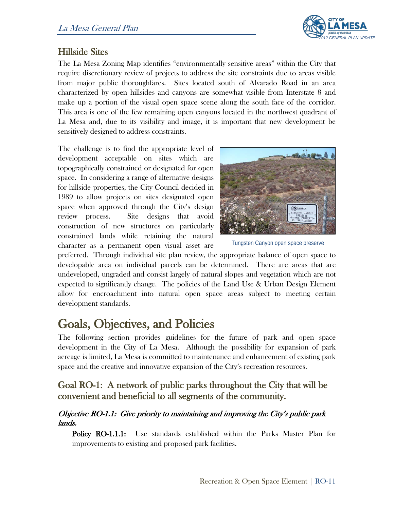

# Hillside Sites

The La Mesa Zoning Map identifies "environmentally sensitive areas" within the City that require discretionary review of projects to address the site constraints due to areas visible from major public thoroughfares. Sites located south of Alvarado Road in an area characterized by open hillsides and canyons are somewhat visible from Interstate 8 and make up a portion of the visual open space scene along the south face of the corridor. This area is one of the few remaining open canyons located in the northwest quadrant of La Mesa and, due to its visibility and image, it is important that new development be sensitively designed to address constraints.

The challenge is to find the appropriate level of development acceptable on sites which are topographically constrained or designated for open space. In considering a range of alternative designs for hillside properties, the City Council decided in 1989 to allow projects on sites designated open space when approved through the City's design review process. Site designs that avoid construction of new structures on particularly constrained lands while retaining the natural character as a permanent open visual asset are



Tungsten Canyon open space preserve

preferred. Through individual site plan review, the appropriate balance of open space to developable area on individual parcels can be determined. There are areas that are undeveloped, ungraded and consist largely of natural slopes and vegetation which are not expected to significantly change. The policies of the Land Use & Urban Design Element allow for encroachment into natural open space areas subject to meeting certain development standards.

# Goals, Objectives, and Policies<br>The following section provides guidelines for the future of park and open space

development in the City of La Mesa. Although the possibility for expansion of park acreage is limited, La Mesa is committed to maintenance and enhancement of existing park space and the creative and innovative expansion of the City's recreation resources.

# Goal RO-1: A network of public parks throughout the City that will be convenient and beneficial to all segments of the community.

#### Objective RO-1.1: Give priority to maintaining and improving the City's public park lands.

**Policy RO-1.1.1:** Use standards established within the Parks Master Plan for improvements to existing and proposed park facilities.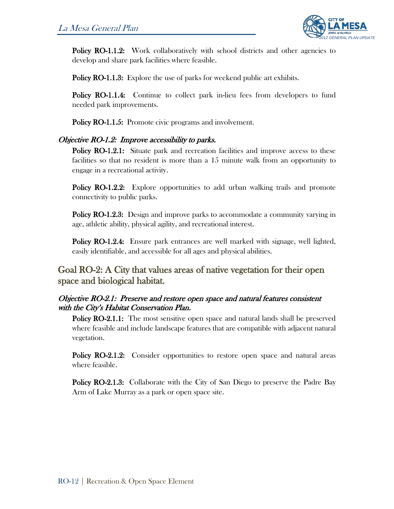

**Policy RO-1.1.2:** Work collaboratively with school districts and other agencies to develop and share park facilities where feasible.

**Policy RO-1.1.3:** Explore the use of parks for weekend public art exhibits.

Policy RO-1.1.4: Continue to collect park in-lieu fees from developers to fund needed park improvements.

Policy RO-1.1.5: Promote civic programs and involvement.

#### Objective RO-1.2: Improve accessibility to parks.

Policy RO-1.2.1: Situate park and recreation facilities and improve access to these facilities so that no resident is more than a 15 minute walk from an opportunity to engage in a recreational activity.

Policy RO-1.2.2: Explore opportunities to add urban walking trails and promote connectivity to public parks.

Policy RO-1.2.3: Design and improve parks to accommodate a community varying in age, athletic ability, physical agility, and recreational interest.

Policy RO-1.2.4: Ensure park entrances are well marked with signage, well lighted, easily identifiable, and accessible for all ages and physical abilities.

# Goal RO-2: A City that values areas of native vegetation for their open space and biological habitat.

#### Objective RO-2.1: Preserve and restore open space and natural features consistent with the City's Habitat Conservation Plan.

**Policy RO-2.1.1:** The most sensitive open space and natural lands shall be preserved where feasible and include landscape features that are compatible with adjacent natural vegetation.

Policy RO-2.1.2: Consider opportunities to restore open space and natural areas where feasible.

Policy RO-2.1.3: Collaborate with the City of San Diego to preserve the Padre Bay Arm of Lake Murray as a park or open space site.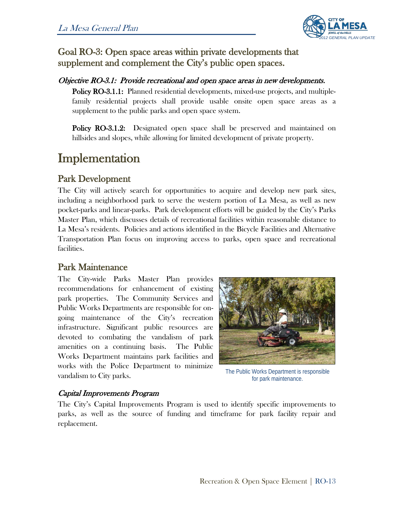

# Goal RO-3: Open space areas within private developments that supplement and complement the City's public open spaces.

#### Objective RO-3.1: Provide recreational and open space areas in new developments.

Policy RO-3.1.1: Planned residential developments, mixed-use projects, and multiplefamily residential projects shall provide usable onsite open space areas as a supplement to the public parks and open space system.

Policy RO-3.1.2: Designated open space shall be preserved and maintained on hillsides and slopes, while allowing for limited development of private property.

# Implementation

# Park Development

The City will actively search for opportunities to acquire and develop new park sites, including a neighborhood park to serve the western portion of La Mesa, as well as new pocket-parks and linear-parks. Park development efforts will be guided by the City's Parks Master Plan, which discusses details of recreational facilities within reasonable distance to La Mesa's residents. Policies and actions identified in the Bicycle Facilities and Alternative Transportation Plan focus on improving access to parks, open space and recreational facilities.

# Park Maintenance

The City-wide Parks Master Plan provides recommendations for enhancement of existing park properties. The Community Services and Public Works Departments are responsible for ongoing maintenance of the City's recreation infrastructure. Significant public resources are devoted to combating the vandalism of park amenities on a continuing basis. The Public Works Department maintains park facilities and works with the Police Department to minimize vandalism to City parks.



The Public Works Department is responsible for park maintenance.

#### Capital Improvements Program

The City's Capital Improvements Program is used to identify specific improvements to parks, as well as the source of funding and timeframe for park facility repair and replacement.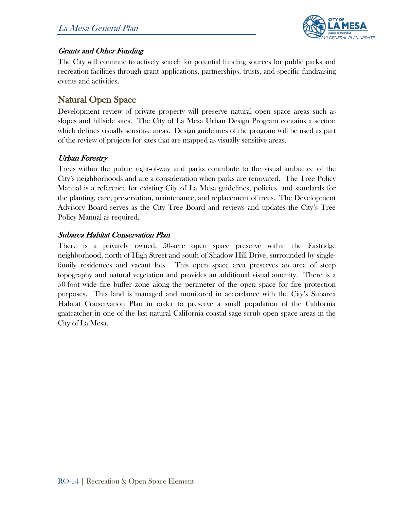

### Grants and Other Funding

The City will continue to actively search for potential funding sources for public parks and recreation facilities through grant applications, partnerships, trusts, and specific fundraising events and activities.

# Natural Open Space

Development review of private property will preserve natural open space areas such as slopes and hillside sites. The City of La Mesa Urban Design Program contains a section which defines visually sensitive areas. Design guidelines of the program will be used as part of the review of projects for sites that are mapped as visually sensitive areas.

### Urban Forestry

Trees within the public right-of-way and parks contribute to the visual ambiance of the City's neighborhoods and are a consideration when parks are renovated. The Tree Policy Manual is a reference for existing City of La Mesa guidelines, policies, and standards for the planting, care, preservation, maintenance, and replacement of trees. The Development Advisory Board serves as the City Tree Board and reviews and updates the City's Tree Policy Manual as required.

### Subarea Habitat Conservation Plan

There is a privately owned, 50-acre open space preserve within the Eastridge neighborhood, north of High Street and south of Shadow Hill Drive, surrounded by singlefamily residences and vacant lots. This open space area preserves an area of steep topography and natural vegetation and provides an additional visual amenity. There is a 50-foot wide fire buffer zone along the perimeter of the open space for fire protection purposes. This land is managed and monitored in accordance with the City's Subarea Habitat Conservation Plan in order to preserve a small population of the California gnatcatcher in one of the last natural California coastal sage scrub open space areas in the City of La Mesa.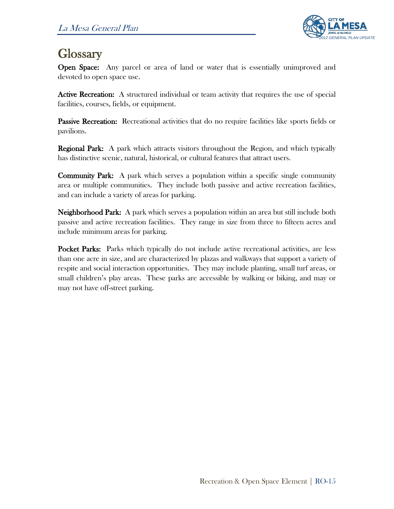

**Glossary**<br>Open Space: Any parcel or area of land or water that is essentially unimproved and devoted to open space use.

Active Recreation: A structured individual or team activity that requires the use of special facilities, courses, fields, or equipment.

**Passive Recreation:** Recreational activities that do no require facilities like sports fields or pavilions.

Regional Park: A park which attracts visitors throughout the Region, and which typically has distinctive scenic, natural, historical, or cultural features that attract users.

**Community Park:** A park which serves a population within a specific single community area or multiple communities. They include both passive and active recreation facilities, and can include a variety of areas for parking.

Neighborhood Park: A park which serves a population within an area but still include both passive and active recreation facilities. They range in size from three to fifteen acres and include minimum areas for parking.

Pocket Parks: Parks which typically do not include active recreational activities, are less than one acre in size, and are characterized by plazas and walkways that support a variety of respite and social interaction opportunities. They may include planting, small turf areas, or small children's play areas. These parks are accessible by walking or biking, and may or may not have off-street parking.